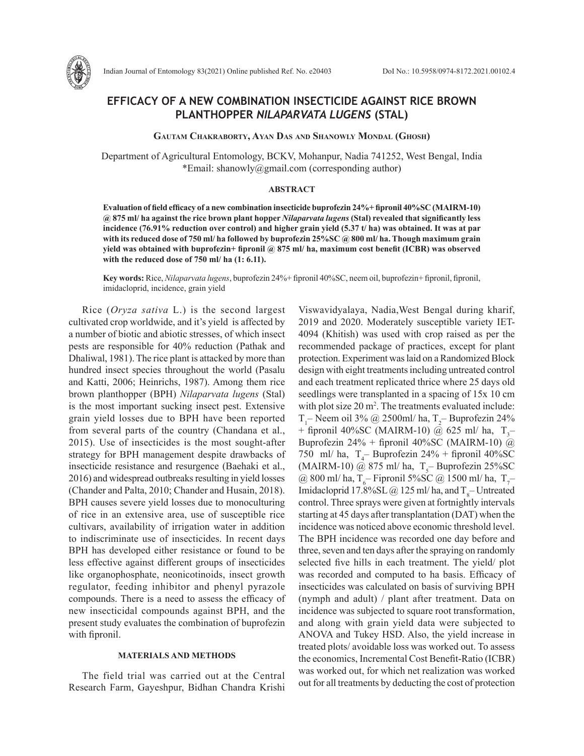

Indian Journal of Entomology 83(2021) Online published Ref. No. e20403 DoI No.: 10.5958/0974-8172.2021.00102.4

# **EFFICACY OF A NEW COMBINATION INSECTICIDE AGAINST RICE BROWN PLANTHOPPER** *NILAPARVATA LUGENS* **(STAL)**

### **Gautam Chakraborty, Ayan Das and Shanowly Mondal (Ghosh)**

Department of Agricultural Entomology, BCKV, Mohanpur, Nadia 741252, West Bengal, India \*Email: shanowly@gmail.com (corresponding author)

## **ABSTRACT**

**Evaluation of field efficacy of a new combination insecticide buprofezin 24%+ fipronil 40%SC (MAIRM-10) @ 875 ml/ ha against the rice brown plant hopper** *Nilaparvata lugens* **(Stal) revealed that significantly less incidence (76.91% reduction over control) and higher grain yield (5.37 t/ ha) was obtained. It was at par with its reduced dose of 750 ml/ ha followed by buprofezin 25%SC @ 800 ml/ ha. Though maximum grain yield was obtained with buprofezin+ fipronil @ 875 ml/ ha, maximum cost benefit (ICBR) was observed with the reduced dose of 750 ml/ ha (1: 6.11).** 

**Key words:** Rice, *Nilaparvata lugens*, buprofezin 24%+ fipronil 40%SC, neem oil, buprofezin+ fipronil, fipronil, imidacloprid, incidence, grain yield

Rice (*Oryza sativa* L.) is the second largest cultivated crop worldwide, and it's yield is affected by a number of biotic and abiotic stresses, of which insect pests are responsible for 40% reduction (Pathak and Dhaliwal, 1981). The rice plant is attacked by more than hundred insect species throughout the world (Pasalu and Katti, 2006; Heinrichs, 1987). Among them rice brown planthopper (BPH) *Nilaparvata lugens* (Stal) is the most important sucking insect pest. Extensive grain yield losses due to BPH have been reported from several parts of the country (Chandana et al., 2015). Use of insecticides is the most sought-after strategy for BPH management despite drawbacks of insecticide resistance and resurgence (Baehaki et al., 2016) and widespread outbreaks resulting in yield losses (Chander and Palta, 2010; Chander and Husain, 2018). BPH causes severe yield losses due to monoculturing of rice in an extensive area, use of susceptible rice cultivars, availability of irrigation water in addition to indiscriminate use of insecticides. In recent days BPH has developed either resistance or found to be less effective against different groups of insecticides like organophosphate, neonicotinoids, insect growth regulator, feeding inhibitor and phenyl pyrazole compounds. There is a need to assess the efficacy of new insecticidal compounds against BPH, and the present study evaluates the combination of buprofezin with fipronil.

### **MATERIALS AND METHODS**

The field trial was carried out at the Central Research Farm, Gayeshpur, Bidhan Chandra Krishi

Viswavidyalaya, Nadia,West Bengal during kharif, 2019 and 2020. Moderately susceptible variety IET-4094 (Khitish) was used with crop raised as per the recommended package of practices, except for plant protection. Experiment was laid on a Randomized Block design with eight treatments including untreated control and each treatment replicated thrice where 25 days old seedlings were transplanted in a spacing of 15x 10 cm with plot size 20 m<sup>2</sup>. The treatments evaluated include:  $T_1$ – Neem oil 3% @ 2500ml/ ha,  $T_2$ – Buprofezin 24% + fipronil 40%SC (MAIRM-10) @ 625 ml/ ha,  $T_3$ -Buprofezin 24% + fipronil 40%SC (MAIRM-10)  $\ddot{a}$ 750 ml/ ha,  $T_4$ – Buprofezin 24% + fipronil 40%SC (MAIRM-10) @ 875 ml/ ha,  $T_5$ – Buprofezin 25%SC @ 800 ml/ ha,  $T_c$ – Fipronil 5%SC @ 1500 ml/ ha,  $T_7$ – Imidacloprid 17.8%SL @ 125 ml/ ha, and  $T_s$ – Untreated control. Three sprays were given at fortnightly intervals starting at 45 days after transplantation (DAT) when the incidence was noticed above economic threshold level. The BPH incidence was recorded one day before and three, seven and ten days after the spraying on randomly selected five hills in each treatment. The yield/ plot was recorded and computed to ha basis. Efficacy of insecticides was calculated on basis of surviving BPH (nymph and adult) / plant after treatment. Data on incidence was subjected to square root transformation, and along with grain yield data were subjected to ANOVA and Tukey HSD. Also, the yield increase in treated plots/ avoidable loss was worked out. To assess the economics, Incremental Cost Benefit-Ratio (ICBR) was worked out, for which net realization was worked out for all treatments by deducting the cost of protection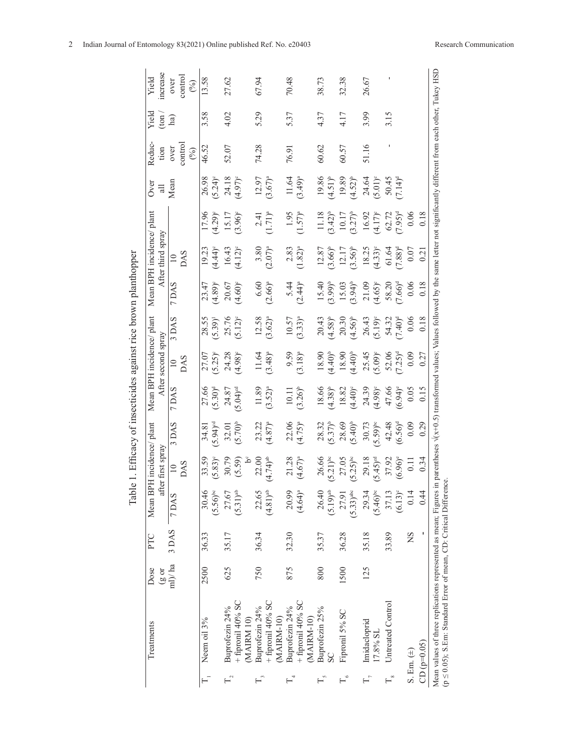|                           |                                                                                                                                      |              |         | Table                            |                                 |                                | . Efficacy of insecticides against rice brown planthopper                                                                                     |                                                 |                                  |                                |                                                                                               |                                                |                                |                        |                         |                        |
|---------------------------|--------------------------------------------------------------------------------------------------------------------------------------|--------------|---------|----------------------------------|---------------------------------|--------------------------------|-----------------------------------------------------------------------------------------------------------------------------------------------|-------------------------------------------------|----------------------------------|--------------------------------|-----------------------------------------------------------------------------------------------|------------------------------------------------|--------------------------------|------------------------|-------------------------|------------------------|
|                           | Treatments                                                                                                                           | Dose<br>(80) | PTC     | Mean BPH incidence/              | after first spray               | plant                          |                                                                                                                                               | Mean BPH incidence/ plant<br>After second spray |                                  |                                | Mean BPH incidence/plant<br>After third spray                                                 |                                                | 0 <sub>ve</sub><br>$\equiv$    | Reduc<br>tion          | Yield<br>$(\text{ton})$ | ncrease<br>Yield       |
|                           |                                                                                                                                      | $ml$ )/ $ha$ | 3 DAS   | 7 DAS                            | <b>DAS</b><br>$\supseteq$       | DAS                            | 7 DAS                                                                                                                                         | $\frac{10}{20}$                                 | 3 DAS                            | 7 DAS                          | DAS<br>$\overline{10}$                                                                        |                                                | Mean                           | control<br>over<br>(%) | ha)                     | control<br>over<br>(%) |
|                           | Neem oil 3%                                                                                                                          | 2500         | 36.33   | 30.46<br>$(5.56)$ <sup>bc</sup>  | 33.59<br>$5.83$ <sup>e</sup>    | 34.81<br>5.94) <sup>od</sup>   | $27.66$<br>(5.30) <sup>d</sup>                                                                                                                | 27.07<br>$5.25$ <sup>e</sup>                    | (65.3)<br>28.5 <sup>2</sup>      | $23.47$<br>$(4.89)^c$          | $\frac{19.23}{4.44}$                                                                          |                                                | $\frac{26.98}{(5.24)^6}$       | 46.52                  | 3.58                    | 13.58                  |
| $\Gamma_{2}$              | $+$ fipronil 40% SC<br>Buprofezin 24%<br>(MAIRM 10)                                                                                  | 625          | 35.17   | 27.67<br>$(5.31)$ <sup>at</sup>  | 30.79<br>(5.59)                 | $32.01$<br>$(5.70)^{b}$        | $5.04)$ <sup>ed</sup><br>24.87                                                                                                                | 24.28<br>(4.98) <sup>c</sup>                    | $25.76$<br>$(5.12)^e$            | $20.67$<br>(4.60) <sup>c</sup> | $16.43$<br>$(4.12)^e$                                                                         | $(4.29)^e$<br>$15.17$<br>$15.17$<br>$(3.96)^e$ | $24.18$<br>(4.97) <sup>c</sup> | 52.07                  | 4.02                    | 27.62                  |
| $\mathbb{F}_3$            | + fipronil 40% SC<br>Buprofezin 24%<br>MAIRM-10)                                                                                     | 750          | 36.34   | 22.65<br>$(4.81)$ <sup>at</sup>  | 22.00<br>$(4.74)$ <sup>ab</sup> | 23.22<br>$(4.87)^{a}$          | $11.89$<br>$(3.52)^a$                                                                                                                         | $11.64$<br>(3.48) <sup>a</sup>                  | $12.58$<br>$(3.62)^a$            | $6.60$<br>(2.66) <sup>a</sup>  | $(2.07)^{4}$                                                                                  | $2.41$<br>(1.71) <sup>a</sup>                  | $12.97$<br>(3.67) <sup>a</sup> | 74.28                  | 5.29                    | 67.94                  |
|                           | + fipronil 40% SC<br>Buprofezin 24%<br>(MAIRM-10)                                                                                    | 875          | 32.30   | 20.99<br>(4.64)                  | $21.28$<br>(4.67) <sup>a</sup>  | $22.06$<br>(4.75) <sup>a</sup> | $10.11$<br>$(3.26)^b$                                                                                                                         | $(3.18)^a$                                      | $10.57$<br>(3.33) <sup>a</sup>   | $5.44$<br>(2.44) <sup>a</sup>  | $2.83$<br>(1.82) <sup>a</sup>                                                                 | $(1.57)^a$                                     | $11.64$<br>$(3.49)^a$          | 76.91                  | 5.37                    | 70.48                  |
| $F_{\circ}$               | Buprofezin 25%                                                                                                                       | 800          | 35.37   | 26.40<br>$(5.19)^{at}$           | $26.66$<br>(5.21) <sup>oc</sup> | $28.32$<br>(5.37) <sup>b</sup> | $(4.38)^b$                                                                                                                                    | $(00*7)$                                        | $20.43$<br>$(4.58)$ <sup>b</sup> | $15.40$<br>$(3.99)^b$          |                                                                                               |                                                | $(4.51)^b$                     | 60.62                  | 4.37                    | 38.73                  |
| $F_{\circ}$               | Fipronil 5% SC                                                                                                                       | 1500         | 36.28   | $(5.33)$ <sup>abc</sup><br>27.91 | $27.05$<br>(5.25) <sup>bc</sup> | $28.69$<br>(5.40) <sup>b</sup> | $18.82$<br>(4.40) <sup>c</sup>                                                                                                                | (0.440)                                         | $20.30$<br>$(4.56)^{b}$          | $15.03$<br>$(3.94)^b$          | $\begin{array}{c} 12.87 \\ 3.66 \end{array}$<br>$\begin{array}{c} 12.17 \\ 12.17 \end{array}$ | 11.18<br>$(3.42)^b$<br>$10.17$<br>$(3.27)^b$   | $19.89$<br>(4.52) <sup>b</sup> | 60.57                  | 4.17                    | 32.38                  |
|                           | Imidacloprid<br>17.8% SL                                                                                                             | 125          | 35.18   | 29.34<br>$(5.46)$ <sup>bc</sup>  | 29.18<br>$(5.45)$ <sup>od</sup> | $(5.59)^{bc}$                  | 24.39<br>(4.98)°                                                                                                                              | $25.45$<br>5.09) <sup>e</sup>                   | $26.43$<br>$(5.19)^e$            | $21.09$<br>$(4.65)^e$          | $(4.33)^{e}$                                                                                  | $16.92$<br>(4.17) <sup>c</sup>                 | $24.64$<br>(5.01) <sup>e</sup> | 51.16                  | 3.99                    | 26.67                  |
| $\overline{\mathsf{L}}^*$ | Untreated Control                                                                                                                    |              | 33.89   | 37.13<br>(6.13)                  | 37.92<br>(6.96)°                | $42.48$<br>$(6.56)^d$          | $47.66$<br>$(6.94)$ <sup>e</sup>                                                                                                              | 52.06<br>7.25) <sup>d</sup>                     | 54.32<br>7.40) <sup>d</sup>      | 58.20<br>7.66) <sup>d</sup>    | $\frac{61.64}{7.88}$                                                                          | $62.72$<br>$(7.95)^d$                          | $7.14$ <sup>d</sup>            |                        | 3.15                    |                        |
| S. Em. $(\pm)$            | $CD (p=0.05)$                                                                                                                        |              | ı<br>ΧŊ | 0.14<br>0.44                     | 0.34<br>$\overline{0}$ .        | 0.09<br>0.29                   | 0.05<br>0.15                                                                                                                                  | 0.09<br>0.27                                    | 0.06<br>0.18                     | 0.18<br>0.06                   | 0.07<br>0.21                                                                                  | 0.18<br>0.06                                   |                                |                        |                         |                        |
|                           | (p ≤ 0.05); S.Em: Standard Error of mean, CD: Critical Difference.<br>Mean values of three replications represented as mean; Figures |              |         |                                  |                                 |                                | in parentheses $\sqrt{x+0.5}$ ) transformed values; Values followed by the same letter not significantly different from each other, Tukey HSD |                                                 |                                  |                                |                                                                                               |                                                |                                |                        |                         |                        |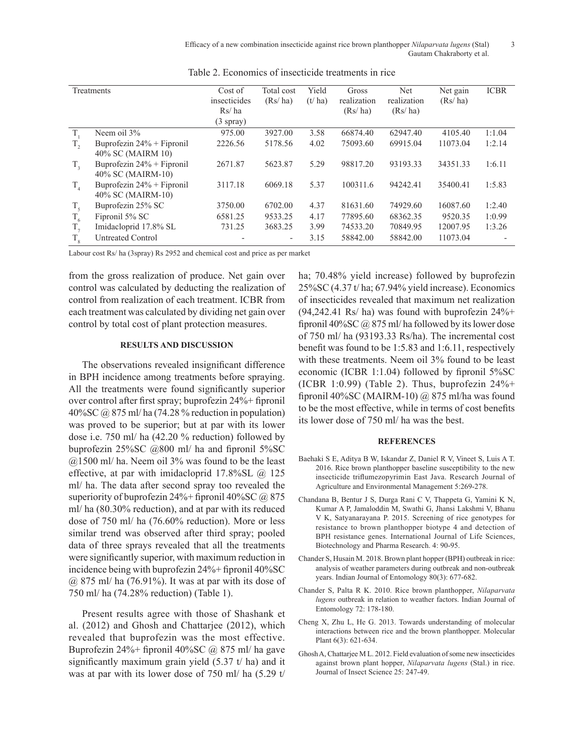Efficacy of a new combination insecticide against rice brown planthopper *Nilaparvata lugens* (Stal) 3 Gautam Chakraborty et al.

|             | Treatments                                        | Cost of<br>insecticides<br>Rs/ha<br>$(3$ spray) | Total cost<br>(Rs/ha) | Yield<br>(t/ha) | Gross<br>realization<br>(Rs/ha) | Net<br>realization<br>(Rs/ha) | Net gain<br>(Rs/ha) | <b>ICBR</b> |
|-------------|---------------------------------------------------|-------------------------------------------------|-----------------------|-----------------|---------------------------------|-------------------------------|---------------------|-------------|
| $T_{1}$     | Neem oil 3%                                       | 975.00                                          | 3927.00               | 3.58            | 66874.40                        | 62947.40                      | 4105.40             | 1:1.04      |
| $T_{2}$     | Buprofezin 24% + Fipronil<br>40% SC (MAIRM 10)    | 2226.56                                         | 5178.56               | 4.02            | 75093.60                        | 69915.04                      | 11073.04            | 1:2.14      |
| $T_{\rm a}$ | Buprofezin $24\%$ + Fipronil<br>40% SC (MAIRM-10) | 2671.87                                         | 5623.87               | 5.29            | 98817.20                        | 93193.33                      | 34351.33            | 1:6.11      |
| $T_{4}$     | Buprofezin $24%$ + Fipronil<br>40% SC (MAIRM-10)  | 3117.18                                         | 6069.18               | 5.37            | 100311.6                        | 94242.41                      | 35400.41            | 1:5.83      |
| $T_{\rm s}$ | Buprofezin 25% SC                                 | 3750.00                                         | 6702.00               | 4.37            | 81631.60                        | 74929.60                      | 16087.60            | 1:2.40      |
| $T_{6}$     | Fipronil 5% SC                                    | 6581.25                                         | 9533.25               | 4.17            | 77895.60                        | 68362.35                      | 9520.35             | 1:0.99      |
| $T_{7}$     | Imidacloprid 17.8% SL                             | 731.25                                          | 3683.25               | 3.99            | 74533.20                        | 70849.95                      | 12007.95            | 1:3.26      |
| $T_{\rm g}$ | <b>Untreated Control</b>                          |                                                 | ٠                     | 3.15            | 58842.00                        | 58842.00                      | 11073.04            |             |

Table 2. Economics of insecticide treatments in rice

Labour cost Rs/ ha (3spray) Rs 2952 and chemical cost and price as per market

from the gross realization of produce. Net gain over control was calculated by deducting the realization of control from realization of each treatment. ICBR from each treatment was calculated by dividing net gain over control by total cost of plant protection measures.

#### **RESULTS AND DISCUSSION**

The observations revealed insignificant difference in BPH incidence among treatments before spraying. All the treatments were found significantly superior over control after first spray; buprofezin 24%+ fipronil 40%SC @ 875 ml/ ha (74.28 % reduction in population) was proved to be superior; but at par with its lower dose i.e. 750 ml/ ha (42.20 % reduction) followed by buprofezin 25%SC @800 ml/ ha and fipronil 5%SC  $(a)$ 1500 ml/ ha. Neem oil 3% was found to be the least effective, at par with imidacloprid 17.8%SL @ 125 ml/ ha. The data after second spray too revealed the superiority of buprofezin  $24\%$ + fipronil  $40\%$ SC @ 875 ml/ ha (80.30% reduction), and at par with its reduced dose of 750 ml/ ha (76.60% reduction). More or less similar trend was observed after third spray; pooled data of three sprays revealed that all the treatments were significantly superior, with maximum reduction in incidence being with buprofezin 24%+ fipronil 40%SC  $(a)$  875 ml/ ha (76.91%). It was at par with its dose of 750 ml/ ha (74.28% reduction) (Table 1).

Present results agree with those of Shashank et al. (2012) and Ghosh and Chattarjee (2012), which revealed that buprofezin was the most effective. Buprofezin 24%+ fipronil 40%SC @ 875 ml/ ha gave significantly maximum grain yield  $(5.37 \text{ t/ha})$  and it was at par with its lower dose of 750 ml/ ha (5.29 t/

ha; 70.48% yield increase) followed by buprofezin 25%SC (4.37 t/ ha; 67.94% yield increase). Economics of insecticides revealed that maximum net realization  $(94,242.41 \text{ Rs/ ha})$  was found with buprofezin  $24\%$ + fipronil 40%SC @ 875 ml/ ha followed by its lower dose of 750 ml/ ha (93193.33 Rs/ha). The incremental cost benefit was found to be 1:5.83 and 1:6.11, respectively with these treatments. Neem oil 3% found to be least economic (ICBR 1:1.04) followed by fipronil 5%SC (ICBR 1:0.99) (Table 2). Thus, buprofezin  $24\%$ + fipronil 40%SC (MAIRM-10)  $\omega$  875 ml/ha was found to be the most effective, while in terms of cost benefits its lower dose of 750 ml/ ha was the best.

#### **REFERENCES**

- Baehaki S E, Aditya B W, Iskandar Z, Daniel R V, Vineet S, Luis A T. 2016. Rice brown planthopper baseline susceptibility to the new insecticide triflumezopyrimin East Java. Research Journal of Agriculture and Environmental Management 5:269-278.
- Chandana B, Bentur J S, Durga Rani C V, Thappeta G, Yamini K N, Kumar A P, Jamaloddin M, Swathi G, Jhansi Lakshmi V, Bhanu V K, Satyanarayana P. 2015. Screening of rice genotypes for resistance to brown planthopper biotype 4 and detection of BPH resistance genes. International Journal of Life Sciences, Biotechnology and Pharma Research. 4: 90-95.
- Chander S, Husain M. 2018. Brown plant hopper (BPH) outbreak in rice: analysis of weather parameters during outbreak and non-outbreak years. Indian Journal of Entomology 80(3): 677-682.
- Chander S, Palta R K. 2010. Rice brown planthopper, *Nilaparvata lugens* outbreak in relation to weather factors. Indian Journal of Entomology 72: 178-180.
- Cheng X, Zhu L, He G. 2013. Towards understanding of molecular interactions between rice and the brown planthopper. Molecular Plant 6(3): 621-634.
- Ghosh A, Chattarjee M L. 2012. Field evaluation of some new insecticides against brown plant hopper, *Nilaparvata lugens* (Stal.) in rice. Journal of Insect Science 25: 247-49.